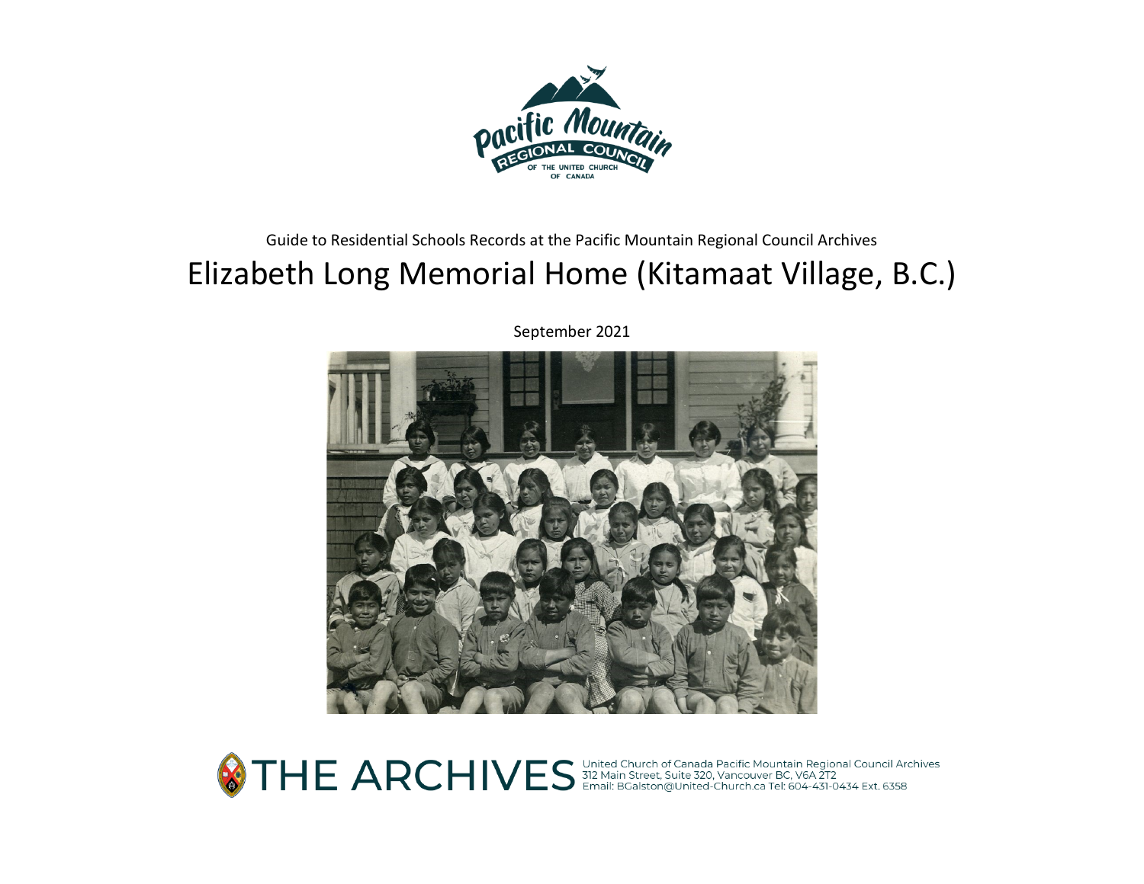

### Guide to Residential Schools Records at the Pacific Mountain Regional Council Archives

# Elizabeth Long Memorial Home (Kitamaat Village, B.C.)

September 2021



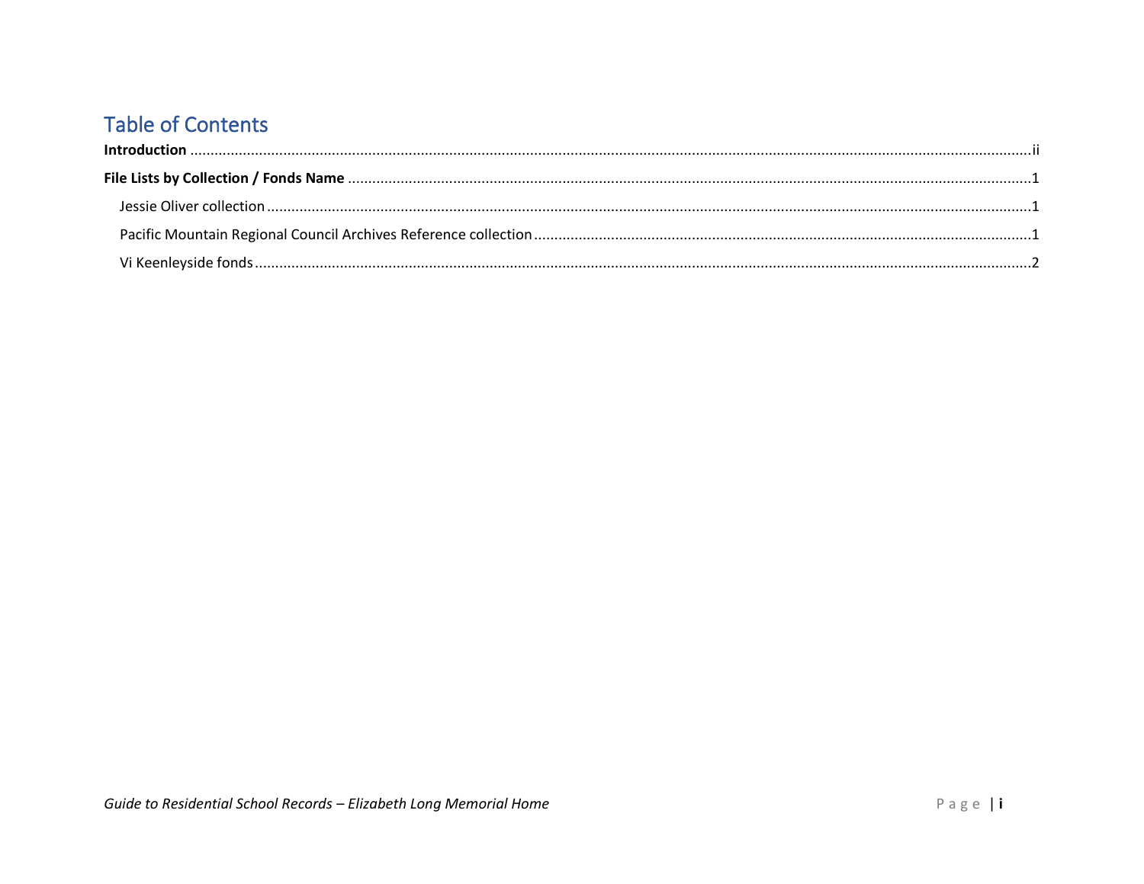# **Table of Contents**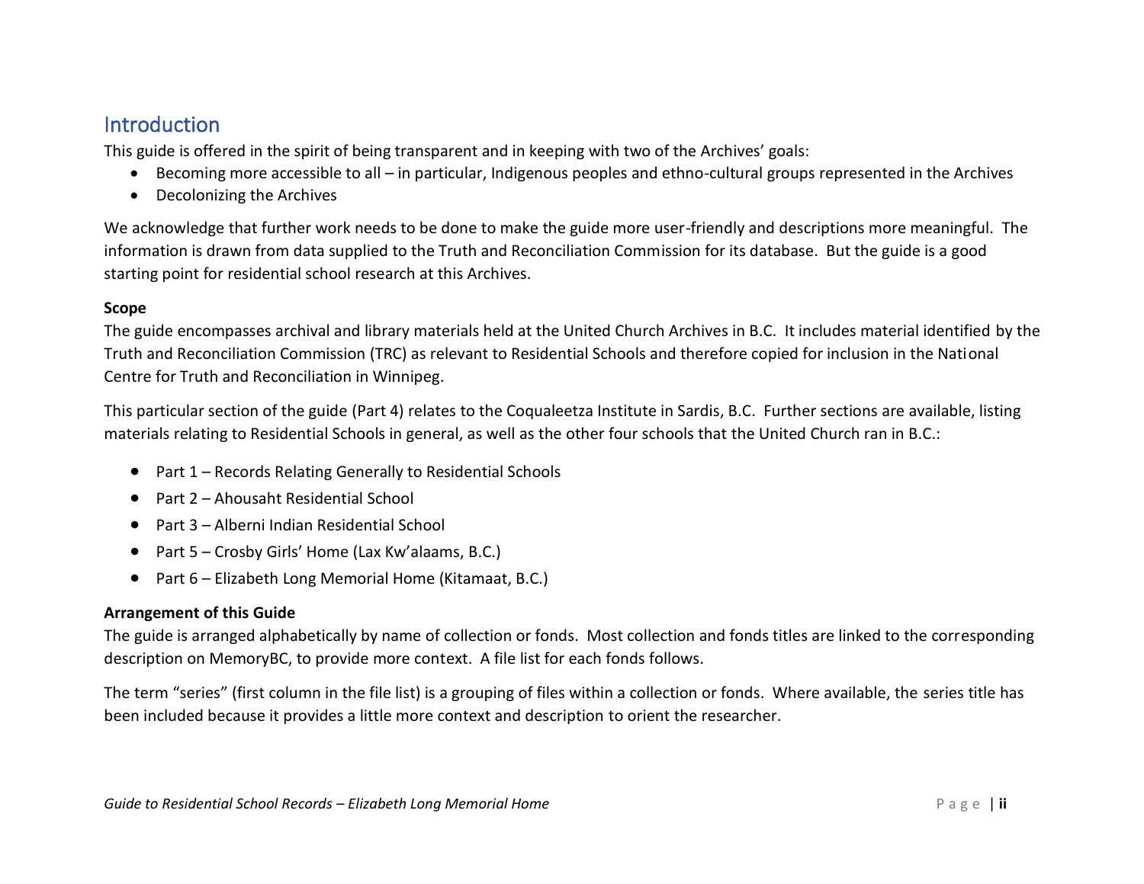## <span id="page-2-0"></span>**Introduction**

This guide is offered in the spirit of being transparent and in keeping with two of the Archives' goals:

- Becoming more accessible to all in particular, Indigenous peoples and ethno-cultural groups represented in the Archives
- Decolonizing the Archives

We acknowledge that further work needs to be done to make the guide more user-friendly and descriptions more meaningful. The information is drawn from data supplied to the Truth and Reconciliation Commission for its database. But the guide is a good starting point for residential school research at this Archives.

#### **Scope**

The guide encompasses archival and library materials held at the United Church Archives in B.C. It includes material identified by the Truth and Reconciliation Commission (TRC) as relevant to Residential Schools and therefore copied for inclusion in the National Centre for Truth and Reconciliation in Winnipeg.

This particular section of the guide (Part 4) relates to the Coqualeetza Institute in Sardis, B.C. Further sections are available, listing materials relating to Residential Schools in general, as well as the other four schools that the United Church ran in B.C.:

- Part 1 Records Relating Generally to Residential Schools
- Part 2 Ahousaht Residential School
- Part 3 Alberni Indian Residential School
- Part 5 Crosby Girls' Home (Lax Kw'alaams, B.C.)
- Part 6 Elizabeth Long Memorial Home (Kitamaat, B.C.)

#### **Arrangement of this Guide**

The guide is arranged alphabetically by name of collection or fonds. Most collection and fonds titles are linked to the corresponding description on MemoryBC, to provide more context. A file list for each fonds follows.

The term "series" (first column in the file list) is a grouping of files within a collection or fonds. Where available, the series title has been included because it provides a little more context and description to orient the researcher.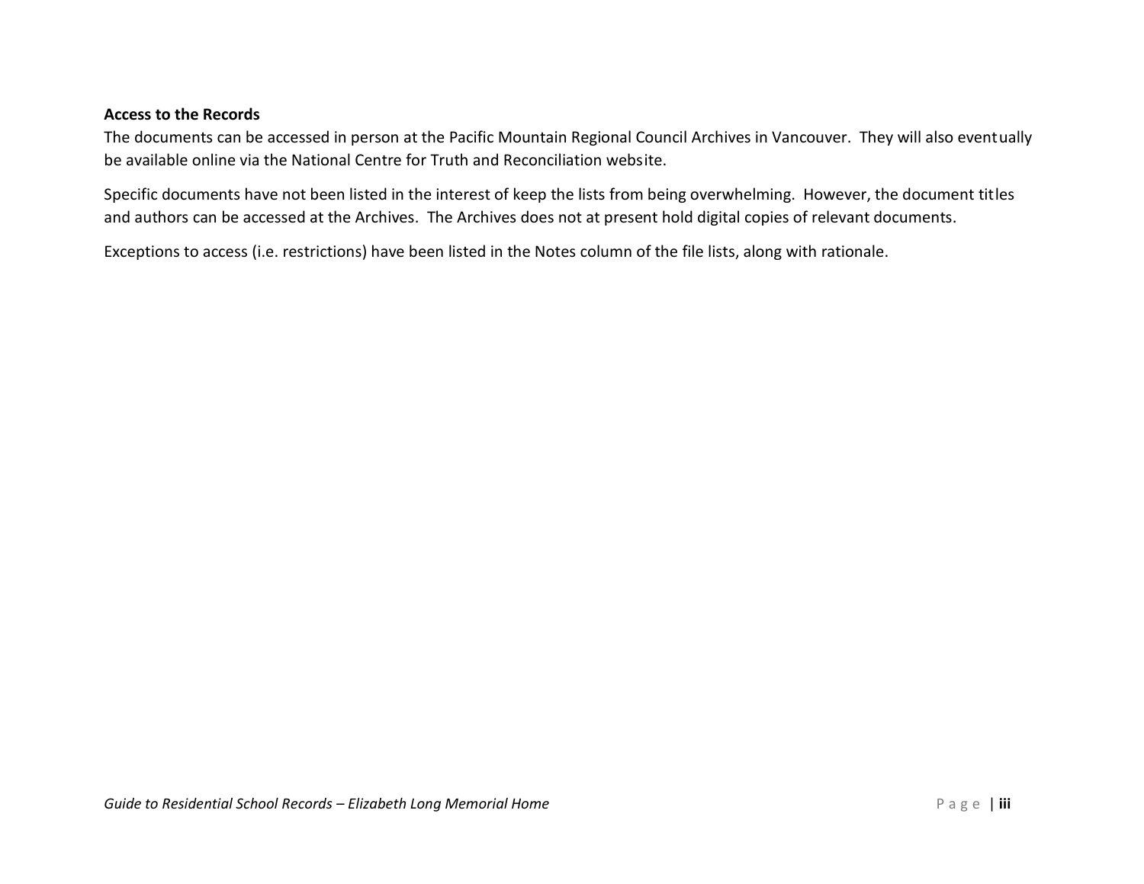#### **Access to the Records**

The documents can be accessed in person at the Pacific Mountain Regional Council Archives in Vancouver. They will also eventually be available online via the National Centre for Truth and Reconciliation website.

Specific documents have not been listed in the interest of keep the lists from being overwhelming. However, the document titles and authors can be accessed at the Archives. The Archives does not at present hold digital copies of relevant documents.

Exceptions to access (i.e. restrictions) have been listed in the Notes column of the file lists, along with rationale.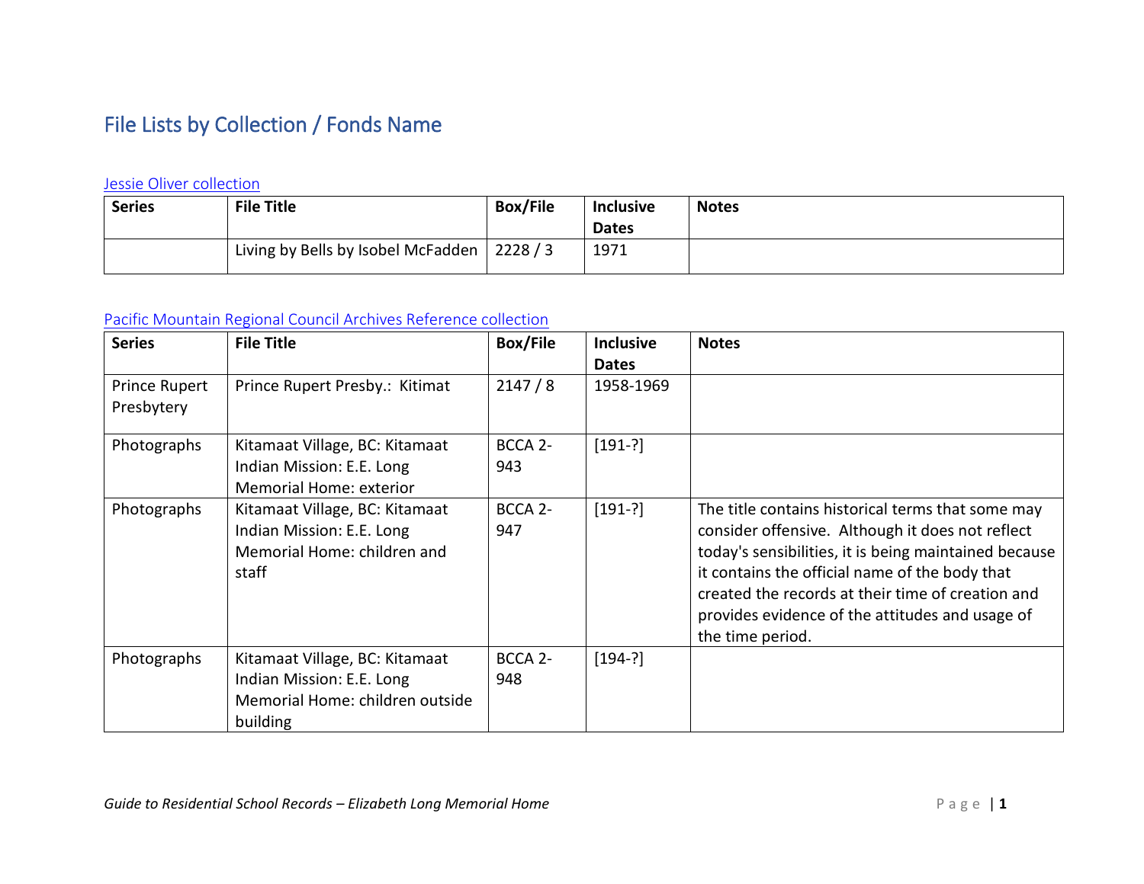# <span id="page-4-0"></span>File Lists by Collection / Fonds Name

#### <span id="page-4-1"></span>[Jessie Oliver collection](https://www.memorybc.ca/jessie-oliver-collection)

| <b>Series</b> | <b>File Title</b>                  | <b>Box/File</b>  | <b>Inclusive</b> | <b>Notes</b> |
|---------------|------------------------------------|------------------|------------------|--------------|
|               |                                    |                  | <b>Dates</b>     |              |
|               | Living by Bells by Isobel McFadden | $\frac{2228}{3}$ | 1971             |              |

### <span id="page-4-2"></span>[Pacific Mountain Regional Council Archives Reference collection](https://www.memorybc.ca/united-church-of-canada-pacific-mountain-region-archives-reference-collection)

| <b>Series</b>                      | <b>File Title</b>                                                                                          | <b>Box/File</b>            | <b>Inclusive</b><br><b>Dates</b> | <b>Notes</b>                                                                                                                                                                                                                                                                                                                                 |
|------------------------------------|------------------------------------------------------------------------------------------------------------|----------------------------|----------------------------------|----------------------------------------------------------------------------------------------------------------------------------------------------------------------------------------------------------------------------------------------------------------------------------------------------------------------------------------------|
| <b>Prince Rupert</b><br>Presbytery | Prince Rupert Presby.: Kitimat                                                                             | 2147/8                     | 1958-1969                        |                                                                                                                                                                                                                                                                                                                                              |
| Photographs                        | Kitamaat Village, BC: Kitamaat<br>Indian Mission: E.E. Long<br>Memorial Home: exterior                     | BCCA <sub>2</sub> -<br>943 | $[191-?]$                        |                                                                                                                                                                                                                                                                                                                                              |
| Photographs                        | Kitamaat Village, BC: Kitamaat<br>Indian Mission: E.E. Long<br>Memorial Home: children and<br>staff        | BCCA 2-<br>947             | $[191-?]$                        | The title contains historical terms that some may<br>consider offensive. Although it does not reflect<br>today's sensibilities, it is being maintained because<br>it contains the official name of the body that<br>created the records at their time of creation and<br>provides evidence of the attitudes and usage of<br>the time period. |
| Photographs                        | Kitamaat Village, BC: Kitamaat<br>Indian Mission: E.E. Long<br>Memorial Home: children outside<br>building | BCCA 2-<br>948             | $[194-?]$                        |                                                                                                                                                                                                                                                                                                                                              |